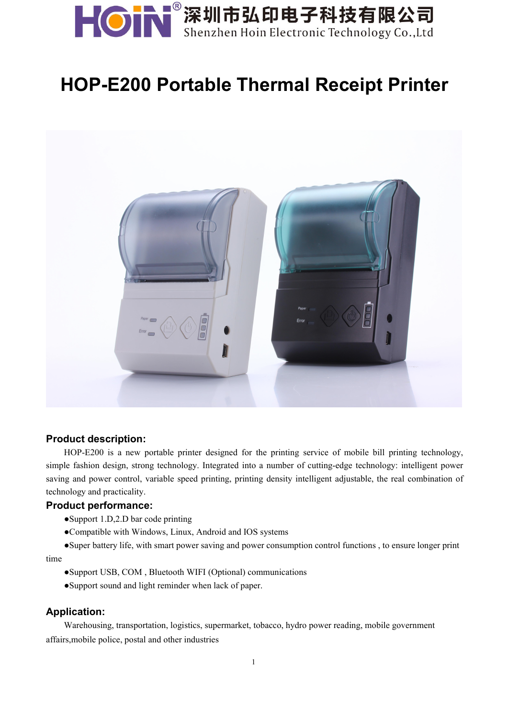

## **HOP-E200 Portable Thermal Receipt Printer**



#### **Product description:**

HOP-E200 is a new portable printer designed for the printing service of mobile bill printing technology, simple fashion design, strong technology. Integrated into a number of cutting-edge technology: intelligent power saving and power control, variable speed printing, printing density intelligent adjustable, the real combination of technology and practicality.

#### **Product performance:**

- ●Support 1.D,2.D bar code printing
- ●Compatible with Windows, Linux, Android and IOS systems

●Super battery life, with smart power saving and power consumption control functions , to ensure longer print time

- ●Support USB, COM , Bluetooth WIFI (Optional) communications
- ●Support sound and light reminder when lack of paper.

#### **Application:**

Warehousing, transportation, logistics, supermarket, tobacco, hydro power reading, mobile government affairs,mobile police, postal and other industries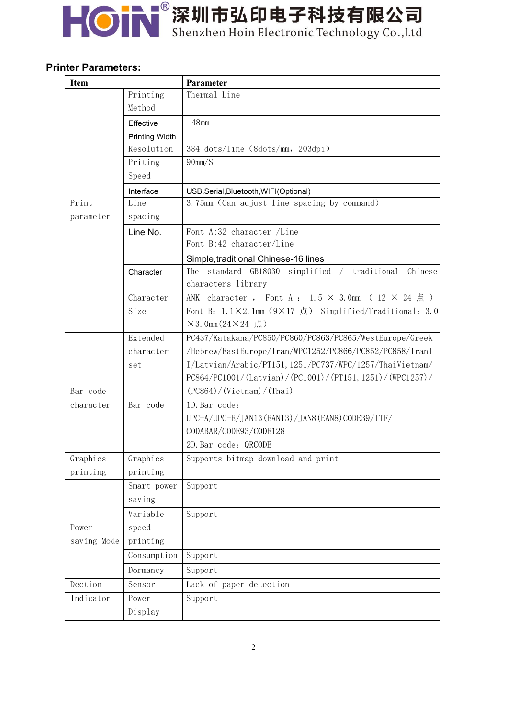# HON 深圳市弘印电子科技有限公司

### **Printer Parameters:**

| <b>Item</b> |                       | Parameter                                                                 |
|-------------|-----------------------|---------------------------------------------------------------------------|
|             | Printing              | Thermal Line                                                              |
|             | Method                |                                                                           |
|             | Effective             | $48$ mm                                                                   |
|             | <b>Printing Width</b> |                                                                           |
|             | Resolution            | 384 $\dots/$ line (8 $\dots/$ mm, 203 $d$ pi)                             |
|             | Priting               | $90$ mm $/S$                                                              |
|             | Speed                 |                                                                           |
|             | Interface             | USB, Serial, Bluetooth, WIFI(Optional)                                    |
| Print       | Line                  | 3.75mm (Can adjust line spacing by command)                               |
| parameter   | spacing               |                                                                           |
|             | Line No.              | Font A:32 character /Line                                                 |
|             |                       | Font B:42 character/Line                                                  |
|             |                       | Simple, traditional Chinese-16 lines                                      |
|             | Character             | The standard GB18030 simplified / traditional Chinese                     |
|             |                       | characters library                                                        |
|             | Character             | ANK character, Font A: $1.5 \times 3.0$ mm ( $12 \times 24 \text{ m/s}$ ) |
|             | Size                  | Font B: 1.1×2.1mm (9×17 点) Simplified/Traditional: 3.0                    |
|             |                       | $\times$ 3.0mm $(24\times24$ 点)                                           |
|             | Extended              | PC437/Katakana/PC850/PC860/PC863/PC865/WestEurope/Greek                   |
|             | character             | /Hebrew/EastEurope/Iran/WPC1252/PC866/PC852/PC858/IranI                   |
|             | set                   | I/Latvian/Arabic/PT151, 1251/PC737/WPC/1257/ThaiVietnam/                  |
|             |                       | PC864/PC1001/(Latvian)/(PC1001)/(PT151, 1251)/(WPC1257)/                  |
| Bar code    |                       | (PC864) / (Vietnam) / (Thai)                                              |
| character   | Bar code              | 1D. Bar code:                                                             |
|             |                       | UPC-A/UPC-E/JAN13 (EAN13) / JAN8 (EAN8) CODE39/ITF/                       |
|             |                       | CODABAR/CODE93/CODE128                                                    |
|             |                       | 2D. Bar code: QRCODE                                                      |
| Graphics    | Graphics              | Supports bitmap download and print                                        |
| printing    | printing              |                                                                           |
|             | Smart power           | Support                                                                   |
|             | saving                |                                                                           |
|             | Variable              | Support                                                                   |
| Power       | speed                 |                                                                           |
| saving Mode | printing              |                                                                           |
|             | Consumption           | Support                                                                   |
|             | Dormancy              | Support                                                                   |
| Dection     | Sensor                | Lack of paper detection                                                   |
| Indicator   | Power                 | Support                                                                   |
|             | Display               |                                                                           |